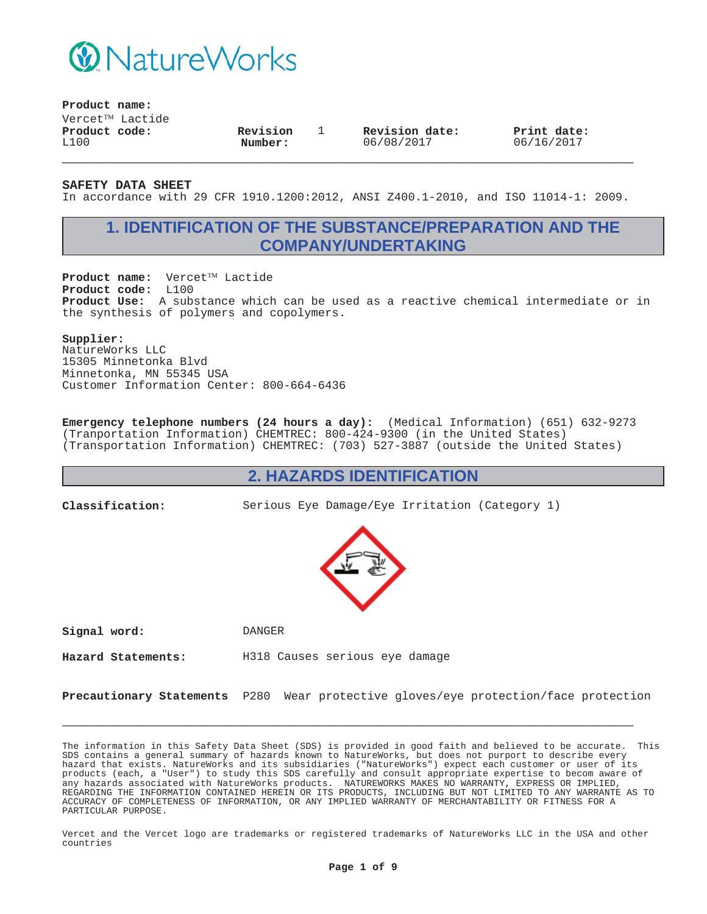

**Product name:**

 $V$ ercet $^{TM}$  Lactide **Product code:** L100

**Revision Number:**

1 **Revision date:** 06/08/2017

**Print date:** 06/16/2017

**SAFETY DATA SHEET**

In accordance with 29 CFR 1910.1200:2012, ANSI Z400.1-2010, and ISO 11014-1: 2009.

**\_\_\_\_\_\_\_\_\_\_\_\_\_\_\_\_\_\_\_\_\_\_\_\_\_\_\_\_\_\_\_\_\_\_\_\_\_\_\_\_\_\_\_\_\_\_\_\_\_\_\_\_\_\_\_\_\_\_\_**

# **1. IDENTIFICATION OF THE SUBSTANCE/PREPARATION AND THE COMPANY/UNDERTAKING**

Product name: Vercet™ Lactide **Product code:** L100 **Product Use:** A substance which can be used as a reactive chemical intermediate or in the synthesis of polymers and copolymers.

#### **Supplier:**

NatureWorks LLC 15305 Minnetonka Blvd Minnetonka, MN 55345 USA Customer Information Center: 800-664-6436

**Emergency telephone numbers (24 hours a day):** (Medical Information) (651) 632-9273 (Tranportation Information) CHEMTREC: 800-424-9300 (in the United States) (Transportation Information) CHEMTREC: (703) 527-3887 (outside the United States)

#### **2. HAZARDS IDENTIFICATION**

**Classification:** Serious Eye Damage/Eye Irritation (Category 1)



**Signal word:** DANGER

**Hazard Statements:** H318 Causes serious eye damage

**Precautionary Statements** P280 Wear protective gloves/eye protection/face protection

**\_\_\_\_\_\_\_\_\_\_\_\_\_\_\_\_\_\_\_\_\_\_\_\_\_\_\_\_\_\_\_\_\_\_\_\_\_\_\_\_\_\_\_\_\_\_\_\_\_\_\_\_\_\_\_\_\_\_\_**

The information in this Safety Data Sheet (SDS) is provided in good faith and believed to be accurate. This SDS contains a general summary of hazards known to NatureWorks, but does not purport to describe every hazard that exists. NatureWorks and its subsidiaries ("NatureWorks") expect each customer or user of its products (each, a "User") to study this SDS carefully and consult appropriate expertise to becom aware of any hazards associated with NatureWorks products. NATUREWORKS MAKES NO WARRANTY, EXPRESS OR IMPLIED, REGARDING THE INFORMATION CONTAINED HEREIN OR ITS PRODUCTS, INCLUDING BUT NOT LIMITED TO ANY WARRANTE AS TO ACCURACY OF COMPLETENESS OF INFORMATION, OR ANY IMPLIED WARRANTY OF MERCHANTABILITY OR FITNESS FOR A PARTICULAR PURPOSE.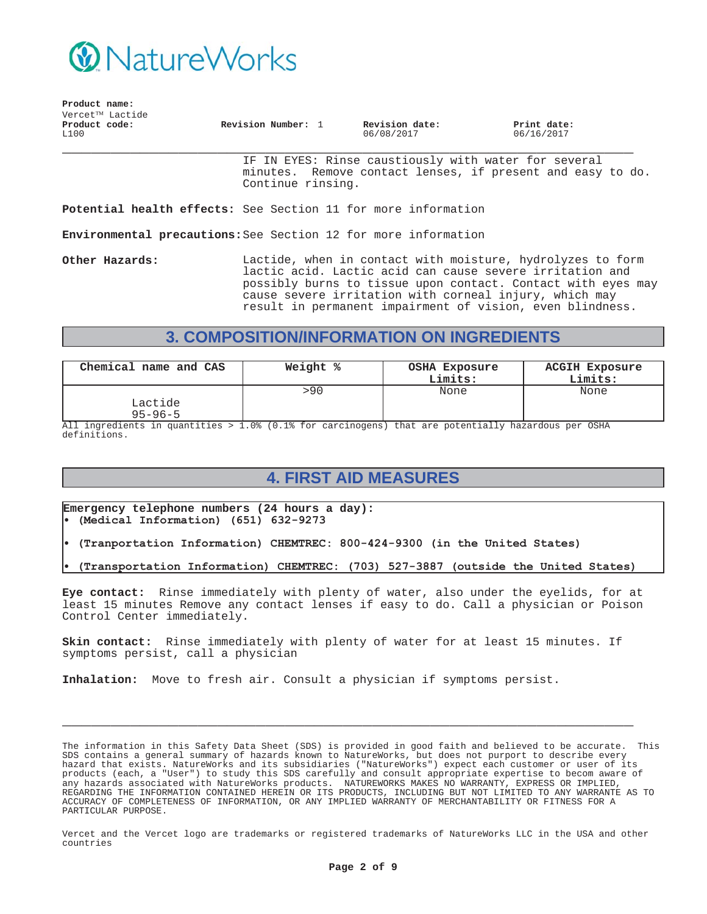

| Product name:         |                              |                    |                              |                           |
|-----------------------|------------------------------|--------------------|------------------------------|---------------------------|
|                       | Vercet <sup>TM</sup> Lactide |                    |                              |                           |
| Product code:<br>L100 |                              | Revision Number: 1 | Revision date:<br>06/08/2017 | Print date:<br>06/16/2017 |

IF IN EYES: Rinse caustiously with water for several minutes. Remove contact lenses, if present and easy to do. Continue rinsing.

**Potential health effects:** See Section 11 for more information

**Environmental precautions:**See Section 12 for more information

**Other Hazards:** Lactide, when in contact with moisture, hydrolyzes to form lactic acid. Lactic acid can cause severe irritation and possibly burns to tissue upon contact. Contact with eyes may cause severe irritation with corneal injury, which may result in permanent impairment of vision, even blindness.

# **3. COMPOSITION/INFORMATION ON INGREDIENTS**

| Chemical name and CAS    | Weight % | OSHA Exposure<br>Limits: | <b>ACGIH Exposure</b><br>Limits: |
|--------------------------|----------|--------------------------|----------------------------------|
| Lactide<br>$95 - 96 - 5$ | >90      | None                     | None                             |

All ingredients in quantities > 1.0% (0.1% for carcinogens) that are potentially hazardous per OSHA definitions.

# **4. FIRST AID MEASURES**

**Emergency telephone numbers (24 hours a day):** (Medical Information) (651) 632-9273

- (Tranportation Information) CHEMTREC: 800-424-9300 (in the United States)
- (Transportation Information) CHEMTREC: (703) 527-3887 (outside the United States)

**Eye contact:** Rinse immediately with plenty of water, also under the eyelids, for at least 15 minutes Remove any contact lenses if easy to do. Call a physician or Poison Control Center immediately.

**Skin contact:** Rinse immediately with plenty of water for at least 15 minutes. If symptoms persist, call a physician

**\_\_\_\_\_\_\_\_\_\_\_\_\_\_\_\_\_\_\_\_\_\_\_\_\_\_\_\_\_\_\_\_\_\_\_\_\_\_\_\_\_\_\_\_\_\_\_\_\_\_\_\_\_\_\_\_\_\_\_**

**Inhalation:** Move to fresh air. Consult a physician if symptoms persist.

The information in this Safety Data Sheet (SDS) is provided in good faith and believed to be accurate. This SDS contains a general summary of hazards known to NatureWorks, but does not purport to describe every hazard that exists. NatureWorks and its subsidiaries ("NatureWorks") expect each customer or user of its products (each, a "User") to study this SDS carefully and consult appropriate expertise to becom aware of any hazards associated with NatureWorks products. NATUREWORKS MAKES NO WARRANTY, EXPRESS OR IMPLIED, REGARDING THE INFORMATION CONTAINED HEREIN OR ITS PRODUCTS, INCLUDING BUT NOT LIMITED TO ANY WARRANTE AS TO ACCURACY OF COMPLETENESS OF INFORMATION, OR ANY IMPLIED WARRANTY OF MERCHANTABILITY OR FITNESS FOR A PARTICULAR PURPOSE.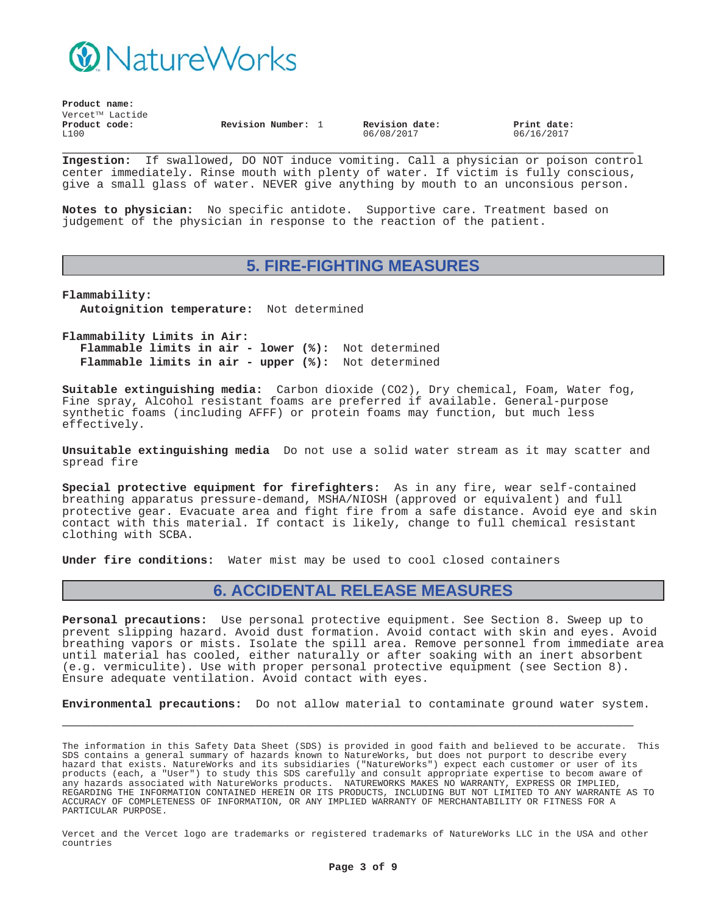

| Product name: |                 |                    |  |                |             |  |
|---------------|-----------------|--------------------|--|----------------|-------------|--|
|               | Vercet™ Lactide |                    |  |                |             |  |
| Product code: |                 | Revision Number: 1 |  | Revision date: | Print date: |  |
| L100          |                 |                    |  | 06/08/2017     | 06/16/2017  |  |

**\_\_\_\_\_\_\_\_\_\_\_\_\_\_\_\_\_\_\_\_\_\_\_\_\_\_\_\_\_\_\_\_\_\_\_\_\_\_\_\_\_\_\_\_\_\_\_\_\_\_\_\_\_\_\_\_\_\_\_ Ingestion:** If swallowed, DO NOT induce vomiting. Call a physician or poison control center immediately. Rinse mouth with plenty of water. If victim is fully conscious, give a small glass of water. NEVER give anything by mouth to an unconsious person.

**Notes to physician:** No specific antidote. Supportive care. Treatment based on judgement of the physician in response to the reaction of the patient.

#### **5. FIRE-FIGHTING MEASURES**

**Flammability: Autoignition temperature:** Not determined

**Flammability Limits in Air: Flammable limits in air - lower (%):** Not determined **Flammable limits in air - upper (%):** Not determined

**Suitable extinguishing media:** Carbon dioxide (CO2), Dry chemical, Foam, Water fog, Fine spray, Alcohol resistant foams are preferred if available. General-purpose synthetic foams (including AFFF) or protein foams may function, but much less effectively.

**Unsuitable extinguishing media** Do not use a solid water stream as it may scatter and spread fire

**Special protective equipment for firefighters:** As in any fire, wear self-contained breathing apparatus pressure-demand, MSHA/NIOSH (approved or equivalent) and full protective gear. Evacuate area and fight fire from a safe distance. Avoid eye and skin contact with this material. If contact is likely, change to full chemical resistant clothing with SCBA.

**Under fire conditions:** Water mist may be used to cool closed containers

### **6. ACCIDENTAL RELEASE MEASURES**

**Personal precautions:** Use personal protective equipment. See Section 8. Sweep up to prevent slipping hazard. Avoid dust formation. Avoid contact with skin and eyes. Avoid breathing vapors or mists. Isolate the spill area. Remove personnel from immediate area until material has cooled, either naturally or after soaking with an inert absorbent (e.g. vermiculite). Use with proper personal protective equipment (see Section 8). Ensure adequate ventilation. Avoid contact with eyes.

**Environmental precautions:** Do not allow material to contaminate ground water system.

**\_\_\_\_\_\_\_\_\_\_\_\_\_\_\_\_\_\_\_\_\_\_\_\_\_\_\_\_\_\_\_\_\_\_\_\_\_\_\_\_\_\_\_\_\_\_\_\_\_\_\_\_\_\_\_\_\_\_\_**

The information in this Safety Data Sheet (SDS) is provided in good faith and believed to be accurate. This SDS contains a general summary of hazards known to NatureWorks, but does not purport to describe every hazard that exists. NatureWorks and its subsidiaries ("NatureWorks") expect each customer or user of its products (each, a "User") to study this SDS carefully and consult appropriate expertise to becom aware of any hazards associated with NatureWorks products. NATUREWORKS MAKES NO WARRANTY, EXPRESS OR IMPLIED, REGARDING THE INFORMATION CONTAINED HEREIN OR ITS PRODUCTS, INCLUDING BUT NOT LIMITED TO ANY WARRANTE AS TO ACCURACY OF COMPLETENESS OF INFORMATION, OR ANY IMPLIED WARRANTY OF MERCHANTABILITY OR FITNESS FOR A PARTICULAR PURPOSE.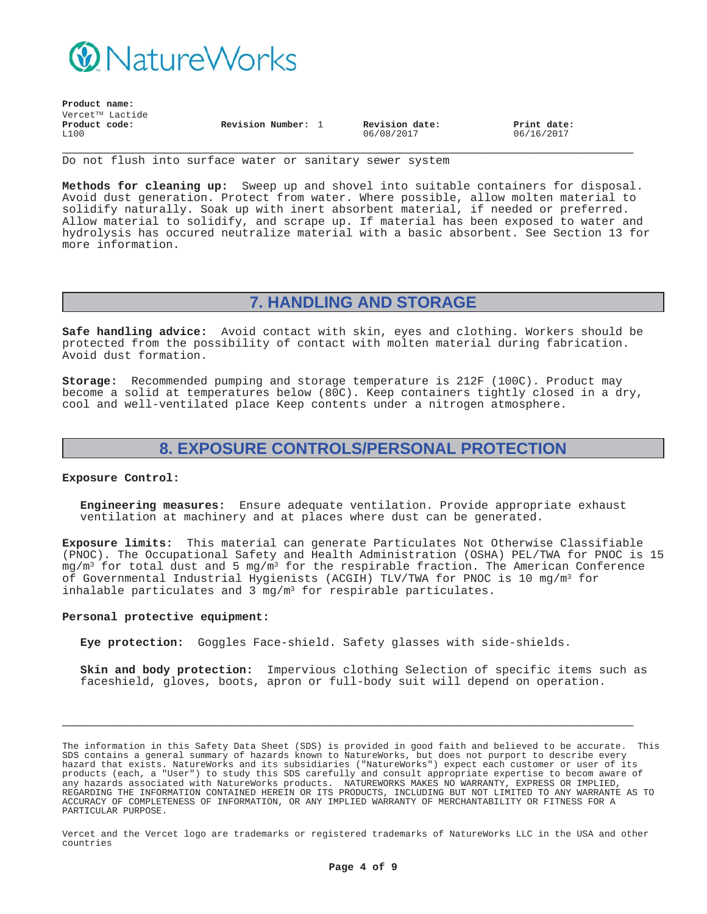

**Product name:**

| rioque name:    |                    |                |             |
|-----------------|--------------------|----------------|-------------|
| Vercet™ Lactide |                    |                |             |
| Product code:   | Revision Number: 1 | Revision date: | Print date: |
| L100            |                    | 06/08/2017     | 06/16/2017  |

**\_\_\_\_\_\_\_\_\_\_\_\_\_\_\_\_\_\_\_\_\_\_\_\_\_\_\_\_\_\_\_\_\_\_\_\_\_\_\_\_\_\_\_\_\_\_\_\_\_\_\_\_\_\_\_\_\_\_\_** Do not flush into surface water or sanitary sewer system

**Methods for cleaning up:** Sweep up and shovel into suitable containers for disposal. Avoid dust generation. Protect from water. Where possible, allow molten material to solidify naturally. Soak up with inert absorbent material, if needed or preferred. Allow material to solidify, and scrape up. If material has been exposed to water and hydrolysis has occured neutralize material with a basic absorbent. See Section 13 for more information.

### **7. HANDLING AND STORAGE**

**Safe handling advice:** Avoid contact with skin, eyes and clothing. Workers should be protected from the possibility of contact with molten material during fabrication. Avoid dust formation.

**Storage:** Recommended pumping and storage temperature is 212F (100C). Product may become a solid at temperatures below (80C). Keep containers tightly closed in a dry, cool and well-ventilated place Keep contents under a nitrogen atmosphere.

### **8. EXPOSURE CONTROLS/PERSONAL PROTECTION**

#### **Exposure Control:**

**Engineering measures:** Ensure adequate ventilation. Provide appropriate exhaust ventilation at machinery and at places where dust can be generated.

**Exposure limits:** This material can generate Particulates Not Otherwise Classifiable (PNOC). The Occupational Safety and Health Administration (OSHA) PEL/TWA for PNOC is 15  $mg/m<sup>3</sup>$  for total dust and 5 mg/m<sup>3</sup> for the respirable fraction. The American Conference of Governmental Industrial Hygienists (ACGIH) TLV/TWA for PNOC is 10 mg/m3 for inhalable particulates and  $3 \text{ mg/m}^3$  for respirable particulates.

#### **Personal protective equipment:**

**Eye protection:** Goggles Face-shield. Safety glasses with side-shields.

**Skin and body protection:** Impervious clothing Selection of specific items such as faceshield, gloves, boots, apron or full-body suit will depend on operation.

The information in this Safety Data Sheet (SDS) is provided in good faith and believed to be accurate. This SDS contains a general summary of hazards known to NatureWorks, but does not purport to describe every hazard that exists. NatureWorks and its subsidiaries ("NatureWorks") expect each customer or user of its products (each, a "User") to study this SDS carefully and consult appropriate expertise to becom aware of any hazards associated with NatureWorks products. NATUREWORKS MAKES NO WARRANTY, EXPRESS OR IMPLIED, REGARDING THE INFORMATION CONTAINED HEREIN OR ITS PRODUCTS, INCLUDING BUT NOT LIMITED TO ANY WARRANTE AS TO ACCURACY OF COMPLETENESS OF INFORMATION, OR ANY IMPLIED WARRANTY OF MERCHANTABILITY OR FITNESS FOR A PARTICULAR PURPOSE.

**\_\_\_\_\_\_\_\_\_\_\_\_\_\_\_\_\_\_\_\_\_\_\_\_\_\_\_\_\_\_\_\_\_\_\_\_\_\_\_\_\_\_\_\_\_\_\_\_\_\_\_\_\_\_\_\_\_\_\_**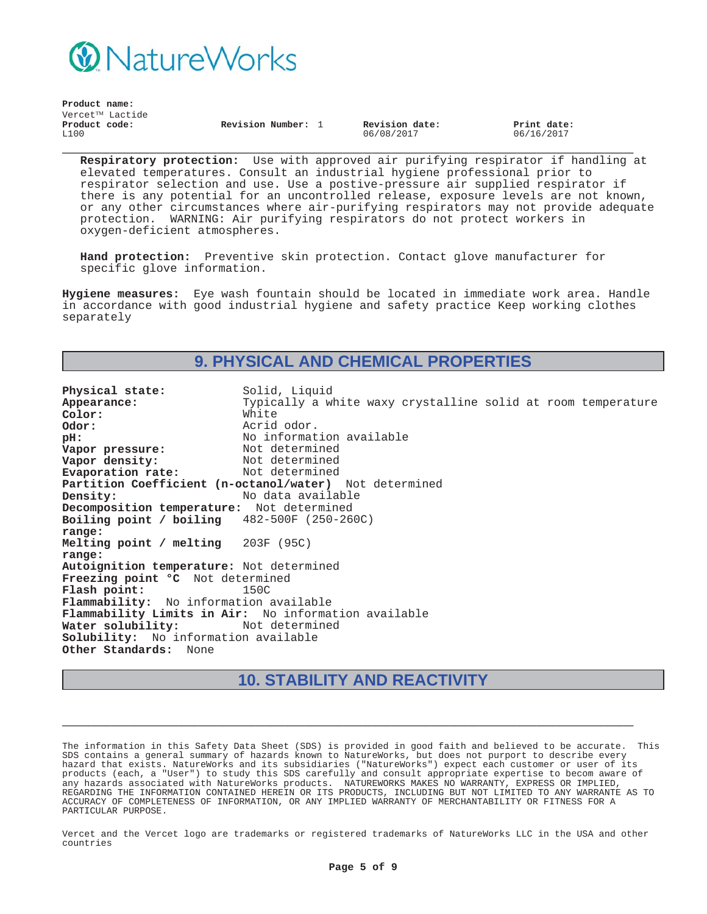

| Vercet <sup>TM</sup> Lactide<br>Product code:<br>Revision date:<br>Revision Number: 1<br>Print date:<br>L100<br>06/16/2017<br>06/08/2017 | Product name: |  |  |  |
|------------------------------------------------------------------------------------------------------------------------------------------|---------------|--|--|--|
|                                                                                                                                          |               |  |  |  |
|                                                                                                                                          |               |  |  |  |

**Respiratory protection:** Use with approved air purifying respirator if handling at elevated temperatures. Consult an industrial hygiene professional prior to respirator selection and use. Use a postive-pressure air supplied respirator if there is any potential for an uncontrolled release, exposure levels are not known, or any other circumstances where air-purifying respirators may not provide adequate protection. WARNING: Air purifying respirators do not protect workers in oxygen-deficient atmospheres.

**Hand protection:** Preventive skin protection. Contact glove manufacturer for specific glove information.

**Hygiene measures:** Eye wash fountain should be located in immediate work area. Handle in accordance with good industrial hygiene and safety practice Keep working clothes separately

### **9. PHYSICAL AND CHEMICAL PROPERTIES**

**Physical state:** Solid, Liquid<br> **Appearance:** Typically a w Typically a white waxy crystalline solid at room temperature<br>White Color:<br>Odor: **Odor:** Acrid odor. **pH:**<br> **Vapor pressure:** Not determined<br>
Not determined **Vapor pressure:** Not determined<br> **Vapor density:** Not determined **Vapor density:** Not determined<br> **Evaporation rate:** Not determined **Evaporation rate: Partition Coefficient (n-octanol/water)** Not determined **Density:** No data available **Decomposition temperature:** Not determined **Boiling point / boiling range:** 482-500F (250-260C) **Melting point / melting range:** 203F (95C) **Autoignition temperature:** Not determined **Freezing point °C** Not determined **Flash point:** 150C **Flammability:** No information available **Flammability Limits in Air:** No information available Water solubility: **Solubility:** No information available **Other Standards:** None

### **10. STABILITY AND REACTIVITY**

**\_\_\_\_\_\_\_\_\_\_\_\_\_\_\_\_\_\_\_\_\_\_\_\_\_\_\_\_\_\_\_\_\_\_\_\_\_\_\_\_\_\_\_\_\_\_\_\_\_\_\_\_\_\_\_\_\_\_\_**

The information in this Safety Data Sheet (SDS) is provided in good faith and believed to be accurate. This SDS contains a general summary of hazards known to NatureWorks, but does not purport to describe every hazard that exists. NatureWorks and its subsidiaries ("NatureWorks") expect each customer or user of its products (each, a "User") to study this SDS carefully and consult appropriate expertise to becom aware of any hazards associated with NatureWorks products. NATUREWORKS MAKES NO WARRANTY, EXPRESS OR IMPLIED, REGARDING THE INFORMATION CONTAINED HEREIN OR ITS PRODUCTS, INCLUDING BUT NOT LIMITED TO ANY WARRANTE AS TO ACCURACY OF COMPLETENESS OF INFORMATION, OR ANY IMPLIED WARRANTY OF MERCHANTABILITY OR FITNESS FOR A PARTICULAR PURPOSE.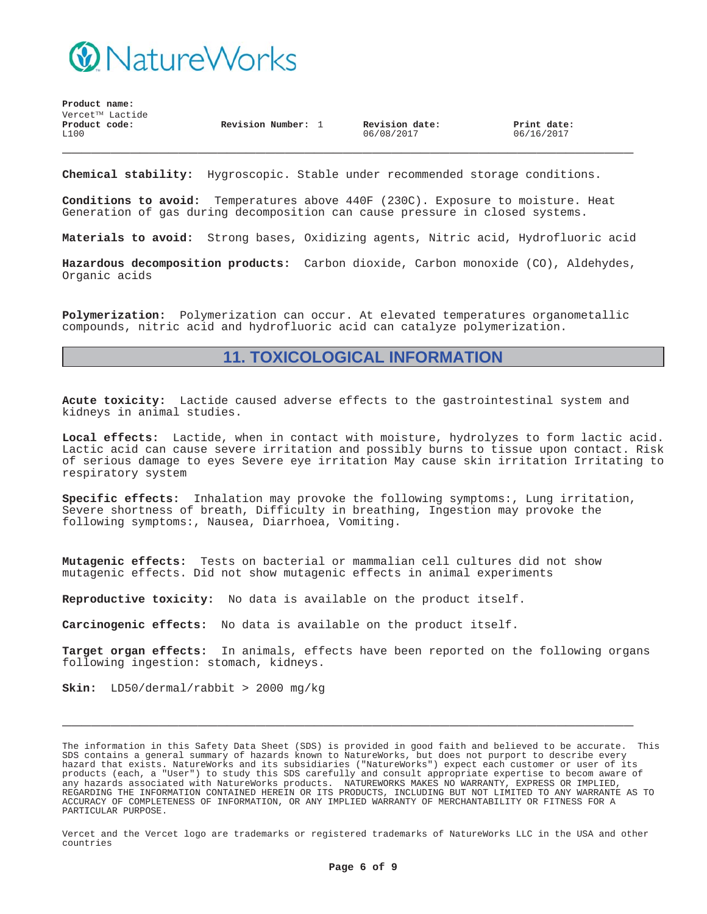

**Product name:**  $\texttt{Vercet}^{\texttt{TM}}$  Lactide **\_\_\_\_\_\_\_\_\_\_\_\_\_\_\_\_\_\_\_\_\_\_\_\_\_\_\_\_\_\_\_\_\_\_\_\_\_\_\_\_\_\_\_\_\_\_\_\_\_\_\_\_\_\_\_\_\_\_\_ Product code:** L100 **Revision Number:** 1 **Revision date:** 06/08/2017 **Print date:** 06/16/2017

**Chemical stability:** Hygroscopic. Stable under recommended storage conditions.

**Conditions to avoid:** Temperatures above 440F (230C). Exposure to moisture. Heat Generation of gas during decomposition can cause pressure in closed systems.

**Materials to avoid:** Strong bases, Oxidizing agents, Nitric acid, Hydrofluoric acid

**Hazardous decomposition products:** Carbon dioxide, Carbon monoxide (CO), Aldehydes, Organic acids

**Polymerization:** Polymerization can occur. At elevated temperatures organometallic compounds, nitric acid and hydrofluoric acid can catalyze polymerization.

#### **11. TOXICOLOGICAL INFORMATION**

**Acute toxicity:** Lactide caused adverse effects to the gastrointestinal system and kidneys in animal studies.

**Local effects:** Lactide, when in contact with moisture, hydrolyzes to form lactic acid. Lactic acid can cause severe irritation and possibly burns to tissue upon contact. Risk of serious damage to eyes Severe eye irritation May cause skin irritation Irritating to respiratory system

**Specific effects:** Inhalation may provoke the following symptoms:, Lung irritation, Severe shortness of breath, Difficulty in breathing, Ingestion may provoke the following symptoms:, Nausea, Diarrhoea, Vomiting.

**Mutagenic effects:** Tests on bacterial or mammalian cell cultures did not show mutagenic effects. Did not show mutagenic effects in animal experiments

**Reproductive toxicity:** No data is available on the product itself.

**Carcinogenic effects:** No data is available on the product itself.

**Target organ effects:** In animals, effects have been reported on the following organs following ingestion: stomach, kidneys.

**\_\_\_\_\_\_\_\_\_\_\_\_\_\_\_\_\_\_\_\_\_\_\_\_\_\_\_\_\_\_\_\_\_\_\_\_\_\_\_\_\_\_\_\_\_\_\_\_\_\_\_\_\_\_\_\_\_\_\_**

**Skin:** LD50/dermal/rabbit > 2000 mg/kg

The information in this Safety Data Sheet (SDS) is provided in good faith and believed to be accurate. This SDS contains a general summary of hazards known to NatureWorks, but does not purport to describe every hazard that exists. NatureWorks and its subsidiaries ("NatureWorks") expect each customer or user of its products (each, a "User") to study this SDS carefully and consult appropriate expertise to becom aware of any hazards associated with NatureWorks products. NATUREWORKS MAKES NO WARRANTY, EXPRESS OR IMPLIED, REGARDING THE INFORMATION CONTAINED HEREIN OR ITS PRODUCTS, INCLUDING BUT NOT LIMITED TO ANY WARRANTE AS TO ACCURACY OF COMPLETENESS OF INFORMATION, OR ANY IMPLIED WARRANTY OF MERCHANTABILITY OR FITNESS FOR A PARTICULAR PURPOSE.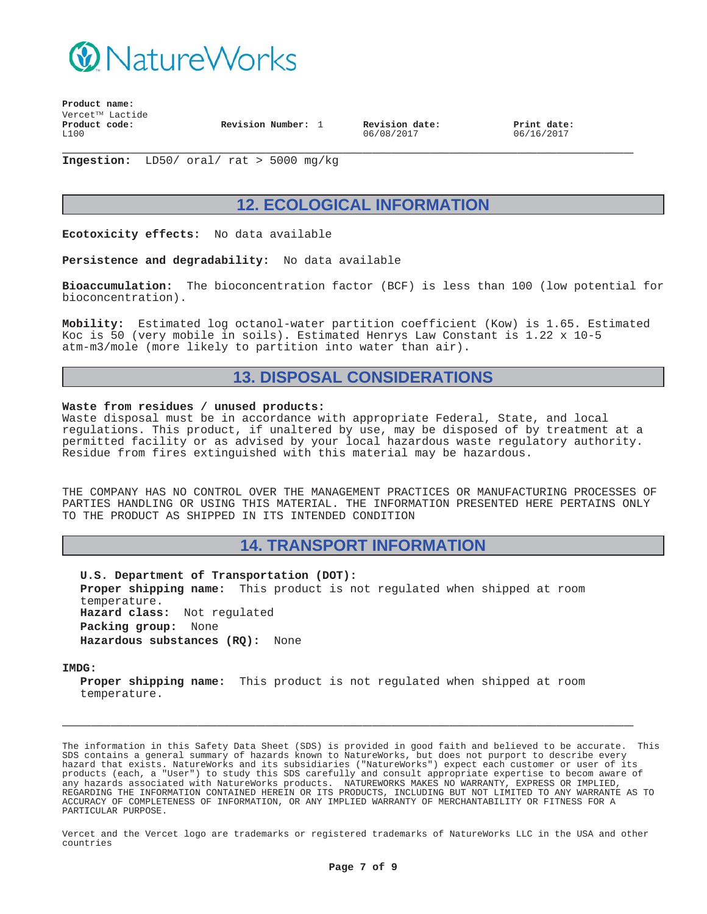

**Product name:**  $Vercet^{TM}$  Lactide **Product code:** L100 **Revision Number:** 1 **Revision date:**

06/08/2017

**Print date:** 06/16/2017

**\_\_\_\_\_\_\_\_\_\_\_\_\_\_\_\_\_\_\_\_\_\_\_\_\_\_\_\_\_\_\_\_\_\_\_\_\_\_\_\_\_\_\_\_\_\_\_\_\_\_\_\_\_\_\_\_\_\_\_ Ingestion:** LD50/ oral/ rat > 5000 mg/kg

# **12. ECOLOGICAL INFORMATION**

**Ecotoxicity effects:** No data available

**Persistence and degradability:** No data available

**Bioaccumulation:** The bioconcentration factor (BCF) is less than 100 (low potential for bioconcentration).

**Mobility:** Estimated log octanol-water partition coefficient (Kow) is 1.65. Estimated Koc is 50 (very mobile in soils). Estimated Henrys Law Constant is 1.22 x 10-5 atm-m3/mole (more likely to partition into water than air).

### **13. DISPOSAL CONSIDERATIONS**

#### **Waste from residues / unused products:**

Waste disposal must be in accordance with appropriate Federal, State, and local regulations. This product, if unaltered by use, may be disposed of by treatment at a permitted facility or as advised by your local hazardous waste regulatory authority. Residue from fires extinguished with this material may be hazardous.

THE COMPANY HAS NO CONTROL OVER THE MANAGEMENT PRACTICES OR MANUFACTURING PROCESSES OF PARTIES HANDLING OR USING THIS MATERIAL. THE INFORMATION PRESENTED HERE PERTAINS ONLY TO THE PRODUCT AS SHIPPED IN ITS INTENDED CONDITION

#### **14. TRANSPORT INFORMATION**

**U.S. Department of Transportation (DOT): Proper shipping name:** This product is not regulated when shipped at room temperature. **Hazard class:** Not regulated **Packing group:** None **Hazardous substances (RQ):** None

**IMDG:**

**Proper shipping name:** This product is not regulated when shipped at room temperature.

**\_\_\_\_\_\_\_\_\_\_\_\_\_\_\_\_\_\_\_\_\_\_\_\_\_\_\_\_\_\_\_\_\_\_\_\_\_\_\_\_\_\_\_\_\_\_\_\_\_\_\_\_\_\_\_\_\_\_\_**

The information in this Safety Data Sheet (SDS) is provided in good faith and believed to be accurate. This SDS contains a general summary of hazards known to NatureWorks, but does not purport to describe every hazard that exists. NatureWorks and its subsidiaries ("NatureWorks") expect each customer or user of its products (each, a "User") to study this SDS carefully and consult appropriate expertise to becom aware of any hazards associated with NatureWorks products. NATUREWORKS MAKES NO WARRANTY, EXPRESS OR IMPLIED, REGARDING THE INFORMATION CONTAINED HEREIN OR ITS PRODUCTS, INCLUDING BUT NOT LIMITED TO ANY WARRANTE AS TO ACCURACY OF COMPLETENESS OF INFORMATION, OR ANY IMPLIED WARRANTY OF MERCHANTABILITY OR FITNESS FOR A PARTICULAR PURPOSE.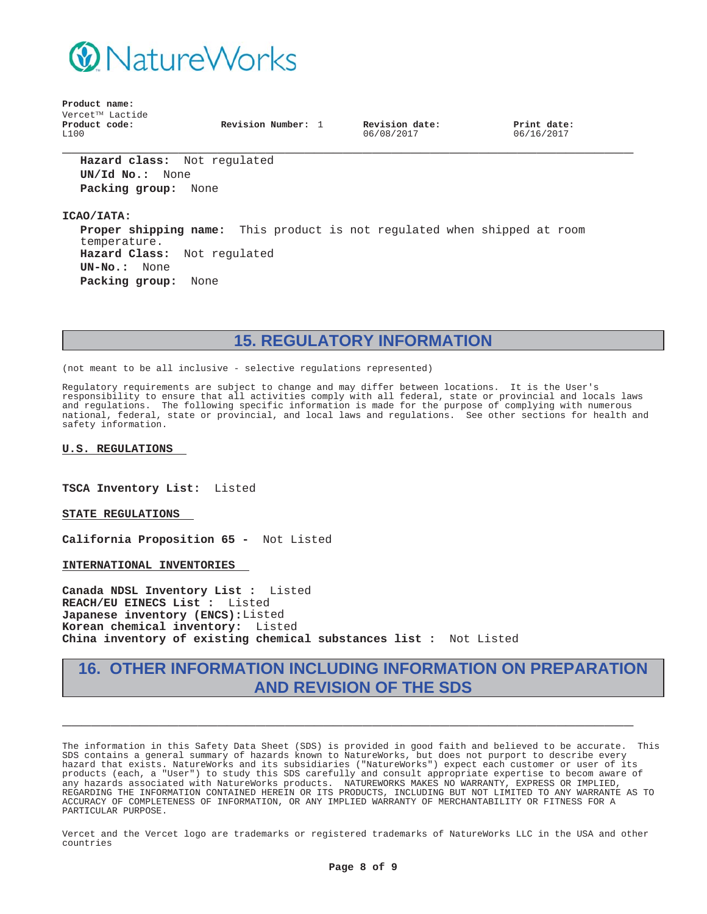

**Product name:**  $Vercet^{TM}$  Lactide **Product code:** L100

**Revision Number:** 1 **Revision date:**

06/08/2017

**Print date:** 06/16/2017

**Hazard class:** Not regulated **UN/Id No.:** None **Packing group:** None

**ICAO/IATA:**

**Proper shipping name:** This product is not regulated when shipped at room temperature. **Hazard Class:** Not regulated **UN-No.:** None **Packing group:** None

**\_\_\_\_\_\_\_\_\_\_\_\_\_\_\_\_\_\_\_\_\_\_\_\_\_\_\_\_\_\_\_\_\_\_\_\_\_\_\_\_\_\_\_\_\_\_\_\_\_\_\_\_\_\_\_\_\_\_\_**

**15. REGULATORY INFORMATION**

(not meant to be all inclusive - selective regulations represented)

Regulatory requirements are subject to change and may differ between locations. It is the User's responsibility to ensure that all activities comply with all federal, state or provincial and locals laws and regulations. The following specific information is made for the purpose of complying with numerous national, federal, state or provincial, and local laws and regulations. See other sections for health and safety information.

#### **U.S. REGULATIONS**

**TSCA Inventory List:** Listed

**STATE REGULATIONS**

**California Proposition 65 -** Not Listed

**INTERNATIONAL INVENTORIES**

**Canada NDSL Inventory List :** Listed **REACH/EU EINECS List :** Listed **Japanese inventory (ENCS):**Listed **Korean chemical inventory:** Listed **China inventory of existing chemical substances list :** Not Listed

# **16. OTHER INFORMATION INCLUDING INFORMATION ON PREPARATION AND REVISION OF THE SDS**

**\_\_\_\_\_\_\_\_\_\_\_\_\_\_\_\_\_\_\_\_\_\_\_\_\_\_\_\_\_\_\_\_\_\_\_\_\_\_\_\_\_\_\_\_\_\_\_\_\_\_\_\_\_\_\_\_\_\_\_**

The information in this Safety Data Sheet (SDS) is provided in good faith and believed to be accurate. This SDS contains a general summary of hazards known to NatureWorks, but does not purport to describe every hazard that exists. NatureWorks and its subsidiaries ("NatureWorks") expect each customer or user of its products (each, a "User") to study this SDS carefully and consult appropriate expertise to becom aware of any hazards associated with NatureWorks products. NATUREWORKS MAKES NO WARRANTY, EXPRESS OR IMPLIED, REGARDING THE INFORMATION CONTAINED HEREIN OR ITS PRODUCTS, INCLUDING BUT NOT LIMITED TO ANY WARRANTE AS TO ACCURACY OF COMPLETENESS OF INFORMATION, OR ANY IMPLIED WARRANTY OF MERCHANTABILITY OR FITNESS FOR A PARTICULAR PURPOSE.